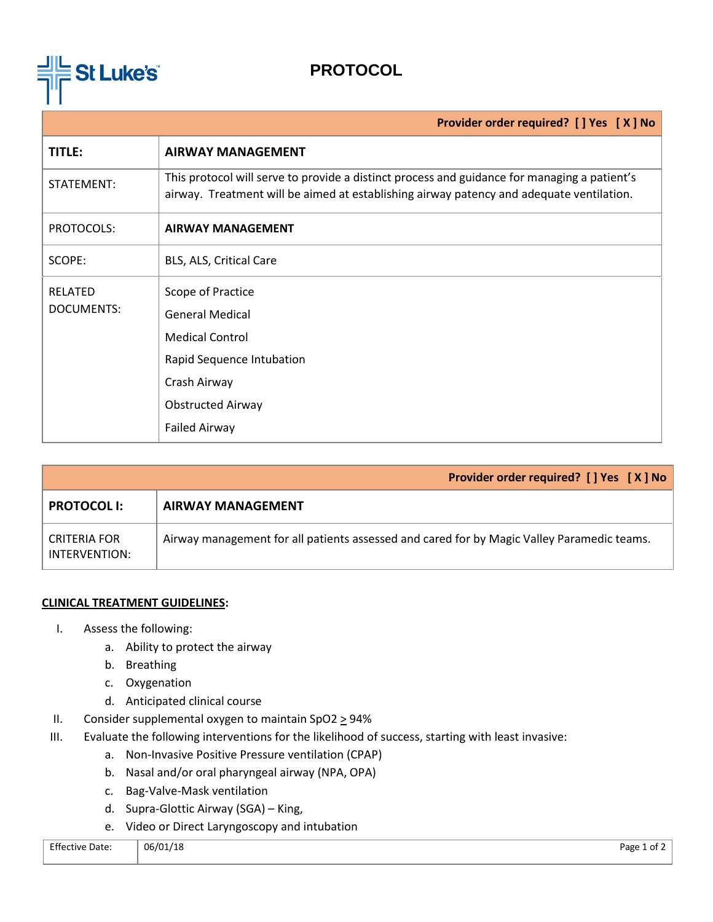

## **PROTOCOL**

| Provider order required? [ ] Yes [ X ] No                                                                                                                                                |  |  |
|------------------------------------------------------------------------------------------------------------------------------------------------------------------------------------------|--|--|
| <b>AIRWAY MANAGEMENT</b>                                                                                                                                                                 |  |  |
| This protocol will serve to provide a distinct process and guidance for managing a patient's<br>airway. Treatment will be aimed at establishing airway patency and adequate ventilation. |  |  |
| <b>AIRWAY MANAGEMENT</b>                                                                                                                                                                 |  |  |
| BLS, ALS, Critical Care                                                                                                                                                                  |  |  |
| Scope of Practice<br><b>General Medical</b><br><b>Medical Control</b><br>Rapid Sequence Intubation<br>Crash Airway<br><b>Obstructed Airway</b><br><b>Failed Airway</b>                   |  |  |
|                                                                                                                                                                                          |  |  |

|                               | <b>Provider order required?</b> [ ] Yes [ X ] No                                           |  |
|-------------------------------|--------------------------------------------------------------------------------------------|--|
| <b>PROTOCOL I:</b>            | <b>AIRWAY MANAGEMENT</b>                                                                   |  |
| CRITERIA FOR<br>INTERVENTION: | Airway management for all patients assessed and cared for by Magic Valley Paramedic teams. |  |

## **CLINICAL TREATMENT GUIDELINES:**

- I. Assess the following:
	- a. Ability to protect the airway
	- b. Breathing
	- c. Oxygenation
	- d. Anticipated clinical course
- II. Consider supplemental oxygen to maintain SpO2  $\geq$  94%
- III. Evaluate the following interventions for the likelihood of success, starting with least invasive:
	- a. Non-Invasive Positive Pressure ventilation (CPAP)
	- b. Nasal and/or oral pharyngeal airway (NPA, OPA)
	- c. Bag-Valve-Mask ventilation
	- d. Supra-Glottic Airway (SGA) King,
	- e. Video or Direct Laryngoscopy and intubation

| <b>Effective Date:</b><br>. | 06/01/18<br>$-$ | Page<br>∶ot 2 |
|-----------------------------|-----------------|---------------|
|                             |                 |               |